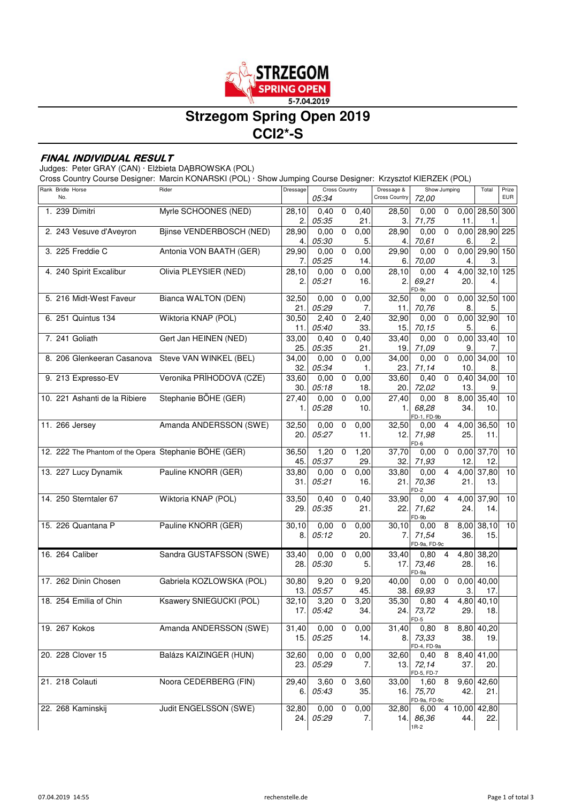

# **Strzegom Spring Open 2019 CCI2\*-S**

### **FINAL INDIVIDUAL RESULT**

Judges: Peter GRAY (CAN) · Elżbieta DĄBROWSKA (POL)

Cross Country Course Designer: Marcin KONARSKI (POL) · Show Jumping Course Designer: Krzysztof KIERZEK (POL)

| Rank Bridle Horse<br>No.                              | Rider                    | Dressage     | <b>Cross Country</b> |             | Dressage &<br><b>Cross Country</b> | Show Jumping<br>72,00 |                      |                | Total       | Prize<br><b>EUR</b>  |     |
|-------------------------------------------------------|--------------------------|--------------|----------------------|-------------|------------------------------------|-----------------------|----------------------|----------------|-------------|----------------------|-----|
|                                                       |                          |              | 05:34                |             |                                    |                       |                      |                |             |                      |     |
| 1. 239 Dimitri                                        | Myrle SCHOONES (NED)     | 28,10<br>2.  | 0.40<br>05:35        | $\mathbf 0$ | 0,40<br>21.                        | 28,50<br>З.           | 0,00<br>71,75        | $\mathbf 0$    | 11.         | 0,00 28,50 300<br>1. |     |
| 2. 243 Vesuve d'Aveyron                               | Bjinse VENDERBOSCH (NED) | 28,90        | 0.00                 | $\mathbf 0$ | 0,00                               | 28,90                 | 0.00                 | 0              | 0,00        | 28,90 225            |     |
|                                                       |                          | 4.           | 05:30                |             | 5.                                 | 4.                    | 70,61                |                | 6.          | 2.                   |     |
| 3. 225 Freddie C                                      | Antonia VON BAATH (GER)  | 29,90        | 0.00                 | $\mathsf 0$ | 0,00                               | 29,90                 | 0.00                 | $\mathbf 0$    | 0,00        | 29,90 150            |     |
|                                                       |                          | 7.           | 05:25                |             | 14.                                | 6.                    | 70,00                |                | 4.          | 3.                   |     |
| 4. 240 Spirit Excalibur                               | Olivia PLEYSIER (NED)    | 28,10        | 0,00                 | $\mathbf 0$ | 0,00                               | 28,10                 | 0.00                 | $\overline{4}$ | 4,00        | 32,10 125            |     |
|                                                       |                          | 2.           | 05:21                |             | 16.                                | 2.                    | 69,21<br>FD-9c       |                | 20.         | 4.                   |     |
| 5. 216 Midt-West Faveur                               | Bianca WALTON (DEN)      | 32,50        | 0,00                 | 0           | 0,00                               | 32,50                 | 0,00                 | 0              | 0,00        | 32,50                | 100 |
|                                                       |                          | 21.          | 05:29                |             | 7.                                 | 11.                   | 70,76                |                | 8.          | 5.                   |     |
| 6. 251 Quintus 134                                    | Wiktoria KNAP (POL)      | 30,50        | 2,40                 | 0           | 2,40                               | 32,90                 | 0.00                 | 0              | 0,00        | 32,90                | 10  |
|                                                       |                          | 11.          | <i>05:40</i>         |             | 33.                                | 15.                   | 70,15                |                | 5.          | 6.                   |     |
| 7. 241 Goliath                                        | Gert Jan HEINEN (NED)    | 33,00        | 0,40                 | 0           | 0,40                               | 33,40                 | 0,00                 | 0              | 0,00        | 33,40                | 10  |
|                                                       |                          | 25.          | 05:35                |             | 21.                                | 19.                   | 71,09                |                | 9.          | 7.                   |     |
| 8. 206 Glenkeeran Casanova                            | Steve VAN WINKEL (BEL)   | 34,00        | 0.00                 | 0           | 0,00                               | 34,00                 | 0.00                 | 0              | 0,00        | 34,00                | 10  |
| 9. 213 Expresso-EV                                    | Veronika PRÍHODOVÁ (CZE) | 32.<br>33,60 | 05:34<br>0,00        | 0           | 1.<br>0,00                         | 23.<br>33,60          | 71,14<br>0.40        | 0              | 10.<br>0,40 | 8.<br>34,00          | 10  |
|                                                       |                          | 30.          | 05:18                |             | 18.                                | 20.                   | 72,02                |                | 13.         | 9.                   |     |
| 10. 221 Ashanti de la Ribiere                         | Stephanie BÖHE (GER)     | 27,40        | 0,00                 | $\mathbf 0$ | 0,00                               | 27,40                 | 0.00                 | 8              | 8,00        | 35,40                | 10  |
|                                                       |                          | 1.           | 05:28                |             | 10.                                | 1.                    | 68,28                |                | 34.         | 10.                  |     |
|                                                       |                          |              |                      |             |                                    |                       | FD-1, FD-9b          |                |             |                      |     |
| 11. 266 Jersey                                        | Amanda ANDERSSON (SWE)   | 32,50        | 0,00                 | 0           | 0,00                               | 32,50                 | 0.00                 | 4              | 4,00        | 36,50                | 10  |
|                                                       |                          | 20.          | 05:27                |             | 11.                                | 12.                   | 71,98<br>FD-6        |                | 25.         | 11.                  |     |
| 12. 222 The Phantom of the Opera Stephanie BÖHE (GER) |                          | 36,50        | 1,20                 | $\mathbf 0$ | 1,20                               | 37,70                 | 0,00                 | $\mathbf 0$    | 0,00        | 37,70                | 10  |
|                                                       |                          | 45.          | 05:37                |             | 29.                                | 32.                   | 71,93                |                | 12.         | 12.                  |     |
| 13. 227 Lucy Dynamik                                  | Pauline KNORR (GER)      | 33,80        | 0,00                 | $\pmb{0}$   | 0,00                               | 33,80                 | 0.00                 | $\overline{4}$ | 4,00        | 37,80                | 10  |
|                                                       |                          | 31.          | 05:21                |             | 16.                                | 21.                   | 70,36<br>$FD-2$      |                | 21.         | 13.                  |     |
| 14. 250 Sterntaler 67                                 | Wiktoria KNAP (POL)      | 33,50        | 0,40                 | 0           | 0,40                               | 33,90                 | 0.00                 | 4              | 4,00        | 37,90                | 10  |
|                                                       |                          | 29.          | 05:35                |             | 21.                                | 22.                   | 71,62                |                | 24.         | 14.                  |     |
|                                                       |                          |              |                      |             |                                    |                       | FD-9b                |                |             |                      |     |
| 15. 226 Quantana P                                    | Pauline KNORR (GER)      | 30,10<br>8.  | 0,00<br>05:12        | $\mathbf 0$ | 0,00<br>20.                        | 30,10<br>7.           | 0.00<br>71,54        | 8              | 36.         | 8,00 38,10<br>15.    | 10  |
|                                                       |                          |              |                      |             |                                    |                       | FD-9a, FD-9c         |                |             |                      |     |
| 16. 264 Caliber                                       | Sandra GUSTAFSSON (SWE)  | 33,40        | 0,00                 | $\mathbf 0$ | 0,00                               | 33,40                 | 0,80                 | 4              |             | 4,80 38,20           |     |
|                                                       |                          | 28.          | 05:30                |             | 5.                                 | 17.                   | 73,46                |                | 28.         | 16.                  |     |
|                                                       |                          |              |                      |             |                                    |                       | FD-9a                |                |             |                      |     |
| 17. 262 Dinin Chosen                                  | Gabriela KOZLOWSKA (POL) | 30,80<br>13. | 9,20<br>05:57        | 0           | 9,20<br>45.                        | 40,00<br>38.          | 0.00<br>69,93        | $\mathbf 0$    | 0,00<br>3.  | 40,00<br>17.         |     |
| 18. 254 Emilia of Chin                                | Ksawery SNIEGUCKI (POL)  | 32,10        | 3,20                 | 0           | 3,20                               | 35,30                 | 0,80                 | 4              |             | 4,80 40,10           |     |
|                                                       |                          |              | 17. 05:42            |             | 34.                                |                       | 24. 73,72            |                | 29.         | 18.                  |     |
|                                                       |                          |              |                      |             |                                    |                       | FD-5                 |                |             |                      |     |
| 19. 267 Kokos                                         | Amanda ANDERSSON (SWE)   | 31,40        | 0,00                 | $\mathbf 0$ | 0,00                               | 31,40                 | 0,80                 | 8              |             | 8,80 40,20           |     |
|                                                       |                          | 15.          | 05:25                |             | 14.                                | 8.                    | 73,33<br>FD-4, FD-9a |                | 38.         | 19.                  |     |
| 20. 228 Clover 15                                     | Balázs KAIZINGER (HUN)   | 32,60        | 0,00                 | $\mathbf 0$ | 0,00                               | 32,60                 | 0,40 8               |                |             | 8,40 41,00           |     |
|                                                       |                          | 23.          | 05:29                |             | 7.                                 |                       | 13.72,14             |                | 37.         | 20.                  |     |
| 21. 218 Colauti                                       | Noora CEDERBERG (FIN)    |              |                      |             |                                    |                       | FD-5, FD-7           |                |             |                      |     |
|                                                       |                          | 29,40<br>6.  | 3,60<br>05:43        | $\mathbf 0$ | 3,60<br>35.                        | 33,00<br>16.1         | 1,60 8<br>75,70      |                | 9,60<br>42. | 42,60<br>21.         |     |
|                                                       |                          |              |                      |             |                                    |                       | FD-9a, FD-9c         |                |             |                      |     |
| 22. 268 Kaminskij                                     | Judit ENGELSSON (SWE)    | 32,80        | 0,00                 | $\mathbf 0$ | 0,00                               | 32,80                 | 6,00                 |                | 4 10,00     | 42,80                |     |
|                                                       |                          | 24.          | 05:29                |             | 7.                                 |                       | 14. 86,36            |                | 44.         | 22.                  |     |
|                                                       |                          |              |                      |             |                                    |                       | $1R-2$               |                |             |                      |     |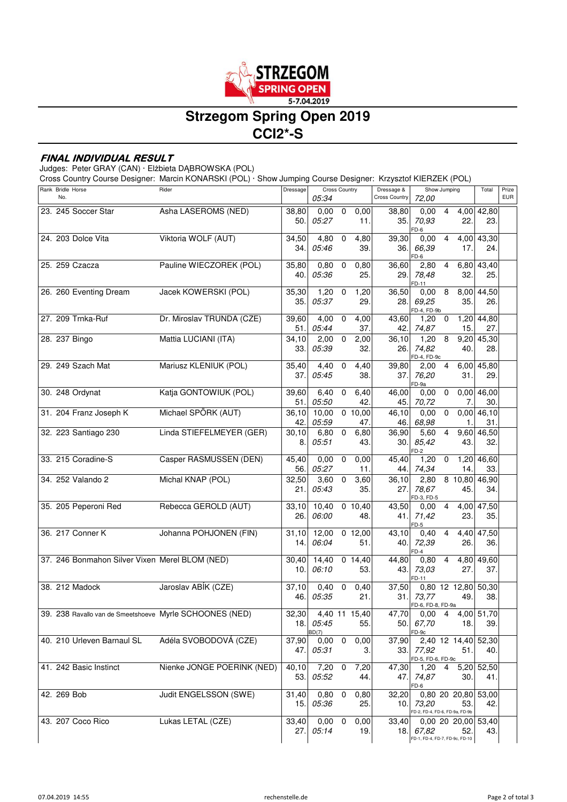

# **Strzegom Spring Open 2019 CCI2\*-S**

#### **FINAL INDIVIDUAL RESULT**

Judges: Peter GRAY (CAN) · Elżbieta DĄBROWSKA (POL)

Cross Country Course Designer: Marcin KONARSKI (POL) · Show Jumping Course Designer: Krzysztof KIERZEK (POL)

| Rank Bridle Horse<br>No.                                | Rider                      | Dressage     | 05:34             | <b>Cross Country</b>    |                             | Dressage &<br><b>Cross Country</b> | Show Jumping<br>72,00                       |                |                      | Total                      | Prize<br><b>EUR</b> |
|---------------------------------------------------------|----------------------------|--------------|-------------------|-------------------------|-----------------------------|------------------------------------|---------------------------------------------|----------------|----------------------|----------------------------|---------------------|
| 23. 245 Soccer Star                                     | Asha LASEROMS (NED)        | 38,80<br>50. | 0,00<br>05:27     | $\mathbf 0$             | 0,00<br>11.                 | 38,80<br>35.                       | 0,00<br>70,93<br>FD-6                       | 4              | 22.                  | $4,00$ $42,80$<br>23.      |                     |
| 24. 203 Dolce Vita                                      | Viktoria WOLF (AUT)        | 34,50<br>34. | $4,80$ 0<br>05:46 |                         | 4,80<br>39.                 | 39,30<br>36.                       | 0,00<br>66,39<br>FD-6                       | $\overline{4}$ | 4,00<br>17.          | 43,30<br>24.               |                     |
| 25. 259 Czacza                                          | Pauline WIECZOREK (POL)    | 35,80<br>40. | 0,80<br>05:36     | $\pmb{0}$               | 0,80<br>25.                 | 36,60<br>29.                       | 2,80<br>78,48<br>FD-11                      | $\overline{4}$ | 6,80<br>32.          | 43,40<br>25.               |                     |
| 26. 260 Eventing Dream                                  | Jacek KOWERSKI (POL)       | 35,30<br>35. | $1,20$ 0<br>05:37 |                         | 1,20<br>29.                 | 36,50<br>28.                       | 0,008<br>69,25<br>FD-4, FD-9b               |                | 35.                  | 8,00 44,50<br>26.          |                     |
| 27. 209 Trnka-Ruf                                       | Dr. Miroslav TRUNDA (CZE)  | 39,60<br>51. | 4,00<br>05:44     | $\mathbf 0$             | 4,00<br>37.                 | 43,60<br>42.                       | 1,20<br>74,87                               | $\mathbf 0$    | 15.                  | 1,20 44,80<br>27.          |                     |
| 28. 237 Bingo                                           | Mattia LUCIANI (ITA)       | 34,10<br>33. | 2,00<br>05:39     | $\overline{0}$          | 2,00<br>32.                 | 36,10<br>26.1                      | 1,208<br>74,82<br>FD-4, FD-9c               |                | 9,20<br>40.          | 45,30<br>28.               |                     |
| 29. 249 Szach Mat                                       | Mariusz KLENIUK (POL)      | 35,40<br>37. | 4,40<br>05:45     | $\mathbf 0$             | 4,40<br>38.                 | 39,80<br>37.                       | 2,00<br>76,20<br>FD-9a                      | $\overline{4}$ | 31.                  | 6,00 45,80<br>29.          |                     |
| 30. 248 Ordynat                                         | Katja GONTOWIUK (POL)      | 39,60<br>51. | 6,40<br>05:50     | $\mathbf 0$             | 6,40<br>42.                 | 46,00<br>45.                       | 0,00<br>70,72                               | $\mathbf 0$    | 7.                   | $0,00$ 46,00<br>30.        |                     |
| 31. 204 Franz Joseph K                                  | Michael SPÖRK (AUT)        | 36,10<br>42. | 10,00<br>05:59    |                         | 0,10,00<br>47.              | 46,10<br>46.                       | 0,00<br>68,98                               | $\mathbf 0$    | 1.                   | $0,00$ 46,10<br>31.        |                     |
| 32. 223 Santiago 230                                    | Linda STIEFELMEYER (GER)   | 30,10<br>8.  | 6,80<br>05:51     | $\overline{0}$          | 6,80<br>43.                 | 36,90<br>30.                       | 5,60<br>85,42<br>FD-2                       | $\overline{4}$ | 43.                  | 9,60 46,50<br>32.          |                     |
| 33. 215 Coradine-S                                      | Casper RASMUSSEN (DEN)     | 45,40<br>56. | 0,00<br>05:27     | $\mathsf 0$             | 0,00<br>11.                 | 45,40<br>44. I                     | 1,20<br>74,34                               | $\mathbf 0$    | 1,20<br>14.          | 46,60<br>33.               |                     |
| 34. 252 Valando 2                                       | Michal KNAP (POL)          | 32,50<br>21. | 3,60<br>05:43     | $\overline{0}$          | 3,60<br>35.                 | 36,10<br>27.                       | 2,80<br>78,67<br>FD-3, FD-5                 |                | 8 10,80<br>45.       | 46,90<br>34.               |                     |
| 35. 205 Peperoni Red                                    | Rebecca GEROLD (AUT)       | 33,10<br>26. | 10,40<br>06:00    |                         | 0 10,40<br>48.              | 43,50<br>41.I                      | 0,00<br>71,42<br>FD-5                       | $\overline{4}$ | 23.                  | 4,00 47,50<br>35.          |                     |
| 36. 217 Conner K                                        | Johanna POHJONEN (FIN)     | 31,10<br>14. | 12,00<br>06:04    |                         | $0$ 12,00<br>51.            | 43,10<br>40.I                      | 0,40<br>72,39<br>$FD-4$                     | $\overline{4}$ | 4,40<br>26.          | 47,50<br>36.               |                     |
| 37. 246 Bonmahon Silver Vixen Merel BLOM (NED)          |                            | 30,40<br>10. | 14,40<br>06:10    |                         | $\overline{0}$ 14,40<br>53. | 44,80<br>43.                       | 0,80<br>73,03<br>FD-11                      | $\overline{4}$ | 27.                  | 4,80 49,60<br>37.          |                     |
| 38. 212 Madock                                          | Jaroslav ABÍK (CZE)        | 37,10<br>46. | 0,40<br>05:35     | $\overline{\mathbf{0}}$ | 0,40<br>21.                 | 37,50<br>31.                       | 73,77<br>FD-6, FD-8, FD-9a                  |                | 49.                  | 0,80 12 12,80 50,30<br>38. |                     |
| 39. 238 Ravallo van de Smeetshoeve Myrle SCHOONES (NED) |                            | 32,30<br>18. | 05:45<br>BD(7)    |                         | 4,40 11 15,40<br>55.        | 47,70<br>50.                       | $0,00 \quad 4$<br>67,70<br>FD-9c            |                | 18.                  | 4,00 51,70<br>39.          |                     |
| 40. 210 Urleven Barnaul SL                              | Adéla SVOBODOVÁ (CZE)      | 37,90<br>47. | 0,00<br>05:31     | $\overline{0}$          | 0,00<br>3.                  | 37,90<br>33.                       | 77,92<br>FD-5, FD-6, FD-9c                  |                | 2,40 12 14,40<br>51. | 52,30<br>40.               |                     |
| 41. 242 Basic Instinct                                  | Nienke JONGE POERINK (NED) | 40,10<br>53. | 7,20<br>05:52     | $\overline{\mathbf{0}}$ | 7,20<br>44.                 | 47,30<br>47.I                      | 1,20<br>74,87<br>FD-6                       | 4              | 30.                  | 5,20 52,50<br>41.          |                     |
| 42. 269 Bob                                             | Judit ENGELSSON (SWE)      | 31,40<br>15. | 0,80<br>05:36     | $\mathbf 0$             | 0,80<br>25.                 | 32,20<br>10.                       | 73,20<br>FD-2, FD-4, FD-6, FD-9a, FD-9b     |                | 53.                  | 0,80 20 20,80 53,00<br>42. |                     |
| 43. 207 Coco Rico                                       | Lukas LETAL (CZE)          | 33,40<br>27. | 0,00<br>05:14     | 0                       | 0,00<br>19.                 | 33,40                              | 18. 67,82<br>FD-1, FD-4, FD-7, FD-9c, FD-10 |                | 52.                  | 0,00 20 20,00 53,40<br>43. |                     |